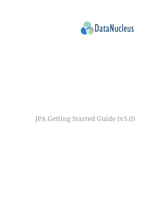

# JPA Getting Started Guide (v5.0)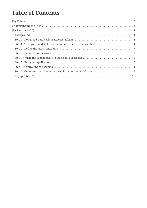# **Table of Contents**

| Step 1 : Take your model classes and mark which are persistable  4 |  |
|--------------------------------------------------------------------|--|
|                                                                    |  |
|                                                                    |  |
|                                                                    |  |
|                                                                    |  |
|                                                                    |  |
| Step 7 : Generate any schema required for your domain classes  16  |  |
|                                                                    |  |
|                                                                    |  |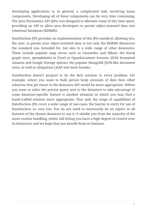Developing applications is, in general, a complicated task, involving many components. Developing all of these components can be very time consuming. The Java Persistence API (JPA) was designed to alleviate some of this time spent, providing an API to allow java developers to persist object-oriented data into relational databases (RDBMS).

DataNucleus JPA provides an implementation of this JPA *standard*, allowing you, the user, to persist your object-oriented data to not only the RDBMS datastores the standard was intended for, but also to a wide range of other datastores. These include popular map stores such as Cassandra and HBase, the Neo4j graph store, spreadsheets in Excel or OpenDocument formats, JSON formatted Amazon and Google Storage options, the popular MongoDB JSON-like document store, as well as ubiquitous LDAP and more besides.

DataNucleus doesn't purport to be the best solution to every problem. For example, where you want to bulk persist large amounts of data then other solutions that get closer to the datastore API would be more appropriate. Where you want to tailor the precise query sent to the datastore to take advantage of some datastore-specific feature is another situation in which you may find a hand-crafted solution more appropriate. That said, the range of capabilities of DataNucleus JPA cover a wide range of use-cases, the barrier to entry for use of DataNucleus us very low. You do not need to necessarily be an expert in all features of the chosen datastore to use it. It shields you from the majority of the more routine handling, whilst still letting you have a high degree of control over its behaviour and we hope that you benefit from its features.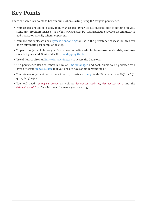# <span id="page-3-0"></span>**Key Points**

There are some key points to bear in mind when starting using JPA for java persistence.

- Your classes should be exactly that, *your* classes. DataNucleus imposes little to nothing on you. Some JPA providers insist on a *default constructor*, but DataNucleus provides its enhancer to add that automatically when not present.
- Your JPA entity classes need [bytecode enhancing](enhancer.html) for use in the persistence process, but this can be an automatic post-compilation step.
- To persist objects of classes you firstly need to **define which classes are persistable, and how they are persisted**. Start under the [JPA Mapping Guide](mapping.html)
- Use of JPA requires an [EntityManagerFactory](persistence.html#emf) to access the datastore.
- The persistence itself is controlled by an [EntityManager](persistence.html#em) and each object to be persisted will have different [lifecycle states](persistence.html#lifecycle) that you need to have an understanding of.
- You retrieve objects either by their identity, or using a [query.](query.html) With JPA you can use JPQL or SQL query languages
- You will need javax.persistence as well as datanucleus-api-jpa, datanucleus-core and the datanucleus-XXX jar for whichever datastore you are using.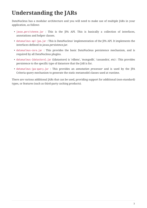# <span id="page-4-0"></span>**Understanding the JARs**

DataNucleus has a modular architecture and you will need to make use of multiple JARs in your application, as follows

- javax.persistence.jar : This is the JPA API. This is basically a collection of interfaces, annotations and helper classes.
- datanucleus-api-jpa.jar : This is DataNucleus' implementation of the JPA API. It implements the interfaces defined in *javax.persistence.jar*.
- datanucleus-core.jar : This provides the basic DataNucleus persistence mechanism, and is required by all DataNucleus plugins.
- datanucleus-{datastore}.jar ({datastore} is 'rdbms', 'mongodb', 'cassandra', etc) : This provides persistence to the specific type of datastore that the JAR is for.
- datanucleus-jpa-query.jar : This provides an *annotation processor* and is used by the JPA Criteria query mechanism to generate the static metamodel classes used at runtime.

There are various additional JARs that can be used, providing support for additional (non-standard) types, or features (such as third-party caching products).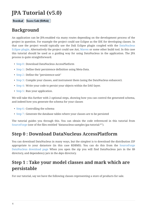# <span id="page-5-0"></span>**JPA Tutorial (v5.0)**

Source Code (GitHub) Download

#### <span id="page-5-1"></span>**Background**

An application can be JPA-enabled via many routes depending on the development process of the project in question. For example the project could use Eclipse as the IDE for developing classes. In that case the project would typically use the Dali Eclipse plugin coupled with the [DataNucleus](tools.html#eclipse) [Eclipse plugin.](tools.html#eclipse) Alternatively the project could use Ant, [Maven](tools.html#maven) or some other build tool. In this case this tutorial should be used as a guiding way for using DataNucleus in the application. The JPA process is quite straightforward.

- [Step 0](#page-5-2) : Download DataNucleus AccessPlatform
- [Step 1](#page-5-3) : Define their persistence definition using Meta-Data.
- [Step 2](#page-8-0) : Define the "persistence-unit"
- [Step 3](#page-9-0) : Compile your classes, and instrument them (using the DataNucleus enhancer).
- [Step 4](#page-10-0) : Write your code to persist your objects within the DAO layer.
- [Step 5](#page-13-0) : Run your application.

We will take this further with 2 optional steps, showing how you can control the generated schema, and indeed how you generate the schema for your classes

- [Step 6](#page-15-0) : Controlling the schema
- [Step 7](#page-17-0) : Generate the database tables where your classes are to be persisted

The tutorial guides you through this. You can obtain the code referenced in this tutorial from [SourceForge](https://sourceforge.net/projects/datanucleus/files/datanucleus-samples/) (one of the files entitled "datanucleus-samples-jpa-tutorial-\*").

#### <span id="page-5-2"></span>**Step 0 : Download DataNucleus AccessPlatform**

You can download DataNucleus in many ways, but the simplest is to download the distribution ZIP appropriate to your datastore (in this case RDBMS). You can do this from the [SourceForge](https://sourceforge.net/projects/datanucleus/files/datanucleus-accessplatform/) [DataNucleus download page](https://sourceforge.net/projects/datanucleus/files/datanucleus-accessplatform/) When you open the zip you will find DataNucleus jars in the *lib* directory, and dependency jars in the *deps* directory.

### <span id="page-5-3"></span>**Step 1 : Take your model classes and mark which are persistable**

For our tutorial, say we have the following classes representing a store of products for sale.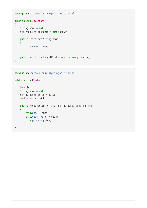```
package org.datanucleus.samples.jpa.tutorial;
public class Inventory
{
      String name = null;
      Set<Product> products = new HashSet();
      public Inventory(String name)
      {
          this.name = name;
      }
      public Set<Product> getProducts() {return products;}
}
```

```
package org.datanucleus.samples.jpa.tutorial;
public class Product
{
      long id;
      String name = null;
      String description = null;
      double price = 0.0;
      public Product(String name, String desc, double price)
      {
          this.name = name;
          this.description = desc;
          this.price = price;
      }
}
```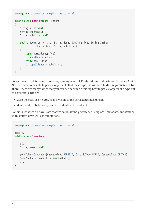```
package org.datanucleus.samples.jpa.tutorial;
public class Book extends Product
{
      String author=null;
      String isbn=null;
      String publisher=null;
      public Book(String name, String desc, double price, String author,
                   String isbn, String publisher)
      {
          super(name,desc,price);
          this.author = author;
          this.isbn = isbn;
          this.publisher = publisher;
      }
}
```
So we have a relationship (Inventory having a set of Products), and inheritance (Product-Book). Now we need to be able to persist objects of all of these types, so we need to **define persistence for them**. There are many things that you can define when deciding how to persist objects of a type but the essential parts are

- Mark the class as an *Entity* so it is visible to the persistence mechanism
- Identify which field(s) represent the identity of the object.

So this is what we do now. Note that we could define persistence using XML metadata, annotations. In this tutorial we will use annotations.

```
package org.datanucleus.samples.jpa.tutorial;
@Entity
public class Inventory
{
      @Id
      String name = null;
      @OneToMany(cascade={CascadeType.PERSIST, CascadeType.MERGE, CascadeType.DETACH})
      Set<Product> products = new HashSet();
      ...
}
```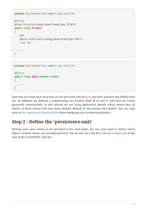```
package org.datanucleus.samples.jpa.tutorial;
@Entity
@Inheritance(strategy=InheritanceType.JOINED)
public class Product
{
      @Id
      @GeneratedValue(strategy=GenerationType.TABLE)
      long id;
      ...
}
```

```
package org.datanucleus.samples.jpa.tutorial;
@Entity
public class Book extends Product
{
      ...
}
```
Note that we mark each class that can be persisted with @Entity and their primary key field(s) with @Id. In addition we defined a *valueStrategy* for Product field *id* so that it will have its values generated automatically. In this tutorial we are using *application identity* which means that all objects of these classes will have their identity defined by the primary key field(s). You can read more in [the application identity guide](mapping.html#application_identity) when designing your systems persistence.

### <span id="page-8-0"></span>**Step 2 : Define the 'persistence-unit'**

Writing your own classes to be persisted is the start point, but you now need to define which objects of these classes are actually persisted. You do this via a file META-INF/persistence.xml at the root of the CLASSPATH. Like this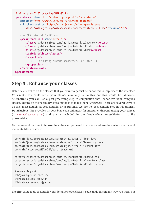```
<?xml version="1.0" encoding="UTF-8" ?>
<persistence xmlns="http://xmlns.jcp.org/xml/ns/persistence"
      xmlns:xsi="http://www.w3.org/2001/XMLSchema-instance"
      xsi:schemaLocation="http://xmlns.jcp.org/xml/ns/persistence
          http://xmlns.jcp.org/xml/ns/persistence/persistence_2_1.xsd" version="2.1">
      <!-- JPA tutorial "unit" -->
      <persistence-unit name="Tutorial">
          <class>org.datanucleus.samples.jpa.tutorial.Inventory</class>
          <class>org.datanucleus.samples.jpa.tutorial.Product</class>
          <class>org.datanucleus.samples.jpa.tutorial.Book</class>
          <exclude-unlisted-classes/>
          <properties>
              <!-- For adding runtime properties. See later -->
          </properties>
      </persistence-unit>
</persistence>
```
#### <span id="page-9-0"></span>**Step 3 : Enhance your classes**

DataNucleus relies on the classes that you want to persist be enhanced to implement the interface *Persistable*. You could write your classes manually to do this but this would be laborious. Alternatively you can use a post-processing step to compilation that "enhances" your compiled classes, adding on the necessary extra methods to make them *Persistable*. There are several ways to do this, most notably at post-compile, or at runtime. We use the post-compile step in this tutorial. **DataNucleus JPA** provides its own byte-code enhancer for instrumenting/enhancing your classes (in datanucleus-core.jar) and this is included in the DataNucleus AccessPlatform zip file prerequisite.

To understand on how to invoke the enhancer you need to visualise where the various source and metadata files are stored

```
src/main/java/org/datanucleus/samples/jpa/tutorial/Book.java
src/main/java/org/datanucleus/samples/jpa/tutorial/Inventory.java
src/main/java/org/datanucleus/samples/jpa/tutorial/Product.java
src/main/resources/META-INF/persistence.xml
target/classes/org/datanucleus/samples/jpa/tutorial/Book.class
target/classes/org/datanucleus/samples/jpa/tutorial/Inventory.class
target/classes/org/datanucleus/samples/jpa/tutorial/Product.class
# when using Ant
lib/javax.persistence.jar
lib/datanucleus-core.jar
lib/datanucleus-api-jpa.jar
```
The first thing to do is compile your domain/model classes. You can do this in any way you wish, but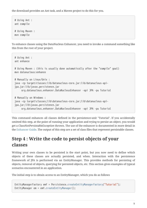the download provides an Ant task, and a Maven project to do this for you.

# Using Ant : ant compile # Using Maven : mvn compile

To enhance classes using the DataNucleus Enhancer, you need to invoke a command something like this from the root of your project.

```
# Using Ant :
ant enhance
# Using Maven : (this is usually done automatically after the "compile" goal)
mvn datanucleus:enhance
# Manually on Linux/Unix :
java -cp target/classes:lib/datanucleus-core.jar:lib/datanucleus-api-
jpa.jar:lib/javax.persistence.jar
       org.datanucleus.enhancer.DataNucleusEnhancer -api JPA -pu Tutorial
# Manually on Windows :
java -cp target\classes;lib\datanucleus-core.jar;lib\datanucleus-api-
jpa.jar;lib\javax.persistence.jar
       org.datanucleus.enhancer.DataNucleusEnhancer -api JPA -pu Tutorial
```
This command enhances all classes defined in the persistence-unit "Tutorial". If you accidentally omitted this step, at the point of running your application and trying to persist an object, you would get a *ClassNotPersistableException* thrown. The use of the enhancer is documented in more detail in the [Enhancer Guide.](enhancer.html) The output of this step are a set of class files that represent persistable classes.

## <span id="page-10-0"></span>**Step 4 : Write the code to persist objects of your classes**

Writing your own classes to be persisted is the start point, but you now need to define which objects of these classes are actually persisted, and when. Interaction with the persistence framework of JPA is performed via an EntityManager. This provides methods for persisting of objects, removal of objects, querying for persisted objects, etc. This section gives examples of typical scenarios encountered in an application.

The initial step is to obtain access to an EntityManager, which you do as follows

```
EntityManagerFactory emf = Persistence.createEntityManagerFactory("Tutorial");
EntityManager em = emf.createEntityManager();
```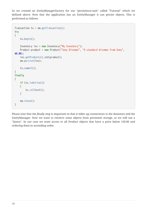So we created an *EntityManagerFactory* for our "persistence-unit" called "Tutorial" which we defined above. Now that the application has an EntityManager it can persist objects. This is performed as follows

```
Transaction tx = em.getTransaction();
try
{
      tx.begin();
      Inventory inv = new Inventory("My Inventory");
      Product product = new Product("Sony Discman", "A standard discman from Sony",
49.99);
      inv.getProducts().add(product);
      em.persist(inv);
      tx.commit();
}
finally
{
      if (tx.isActive())
      {
           tx.rollback();
      }
      em.close();
}
```
Please note that the *finally* step is important in that it tidies up connections to the datastore and the EntityManager. Now we want to retrieve some objects from persistent storage, so we will use a "Query". In our case we want access to all Product objects that have a price below 150.00 and ordering them in ascending order.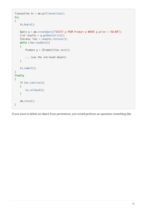```
Transaction tx = em.getTransaction();try
{
      tx.begin();
      Query q = pm.createQuery("SELECT p FROM Product p WHERE p.price < 150.00");
    List results = q.getResultList();
      Iterator iter = results.iterator();
      while (iter.hasNext())
      {
          Product p = (Product)iter.next();
           ... (use the retrieved object)
      }
      tx.commit();
}
finally
{
      if (tx.isActive())
      {
           tx.rollback();
      }
      em.close();
}
```
If you want to delete an object from persistence, you would perform an operation something like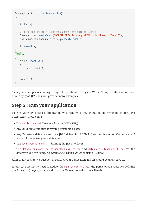```
Transaction tx = em.getTransaction();try
{
      tx.begin();
      // Find and delete all objects whose last name is 'Jones'
      Query q = em.createQuery("DELETE FROM Person p WHERE p.lastName = 'Jones'");
      int numberInstancesDeleted = q.executeUpdate();
      tx.commit();
}
finally
{
      if (tx.isActive())
      {
          tx.rollback();
      }
      em.close();
}
```
Clearly you can perform a large range of operations on objects. We can't hope to show all of these here. Any good JPA book will provide many examples.

#### <span id="page-13-0"></span>**Step 5 : Run your application**

To run your JPA-enabled application will require a few things to be available in the Java CLASSPATH, these being

- The persistence.xml file (stored under META-INF/)
- Any ORM MetaData files for your persistable classes
- Any Datastore driver classes (e.g JDBC driver for RDBMS, Datastax driver for Cassandra, etc) needed for accessing your datastore
- The javax.persistence.jar (defining the JPA interface)
- The datanucleus-core.jar, datanucleus-api-jpa.jar and datanucleus-{datastore}.jar (for the datastore you are using, e.g *datanucleus-rdbms.jar* when using RDBMS)

After that it is simply a question of starting your application and all should be taken care of.

In our case we firstly need to update the persistence.xml with the persistence properties defining the datastore (the *properties* section of the file we showed earlier), like this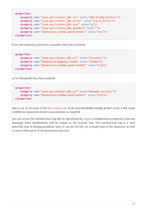```
<properties>
      <property name="javax.persistence.jdbc.url" value="jdbc:h2:mem:nucleus1"/>
      <property name="javax.persistence.jdbc.driver" value="org.h2.Driver"/>
      <property name="javax.persistence.jdbc.user" value="sa"/>
      <property name="javax.persistence.jdbc.password" value=""/>
      <property name="datanucleus.schema.autoCreateAll" value="true"/>
</properties>
```
If we had wanted to persist to Cassandra then this would be

```
<properties>
      <property name="javax.persistence.jdbc.url" value="cassandra:"/>
      <property name="datanucleus.mapping.Schema" value="schema1"/>
      <property name="datanucleus.schema.autoCreateAll" value="true"/>
</properties>
```
or for MongoDB then this would be

```
<properties>
      <property name="javax.persistence.jdbc.url" value="mongodb:/nucleus1"/>
      <property name="datanucleus.schema.autoCreateAll" value="true"/>
</properties>
```
and so on. If you look at the persistence.xml of the downloadable sample project it has a full range of different datastores listed to uncomment as required

You can access the DataNucleus Log file by specifying the [logging](../logging.html) configuration properties, and any messages from DataNucleus will be output in the normal way. The DataNucleus log is a very powerful way of finding problems since it can list all SQL etc actually sent to the datastore as well as many other parts of the persistence process.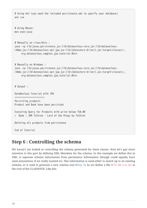```
# Using Ant (you need the included persistence.xml to specify your database)
ant run
# Using Maven:
mvn exec:java
# Manually on Linux/Unix :
java -cp lib/javax.persistence.jar:lib/datanucleus-core.jar:lib/datanucleus-
rdbms.jar:lib/datanucleus-api-jpa.jar:lib/{datastore-driver}.jar:target/classes/:.
       org.datanucleus.samples.jpa.tutorial.Main
# Manually on Windows :
java -cp lib\javax.persistence.jar;lib\datanucleus-core.jar;lib\datanucleus-
rdbms.jar;lib\datanucleus-api-jpa.jar;lib\{datastore-driver}.jar;target\classes\;.
       org.datanucleus.samples.jpa.tutorial.Main
# Output :
DataNucleus Tutorial with JPA
======================
Persisting products
Product and Book have been persisted
Executing Query for Products with price below 150.00
> Book : JRR Tolkien - Lord of the Rings by Tolkien
Deleting all products from persistence
End of Tutorial
```
#### <span id="page-15-0"></span>**Step 6 : Controlling the schema**

We haven't yet looked at controlling the schema generated for these classes. Now let's pay more attention to this part by defining XML Metadata for the schema. In this example we define this in XML to separate schema information from persistence information (though could equally have used annotations if we really wanted to). This information is used *either* to match up to an existing schema, *or* is used to generate a new schema (see [#Step 7](#page-17-0)). So we define a file *META-INF/orm.xml* at the root of the CLASSPATH. Like this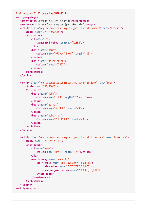```
<?xml version="1.0" encoding="UTF-8" ?>
<entity-mappings>
      <description>DataNucleus JPA tutorial</description>
      <package>org.datanucleus.samples.jpa.tutorial</package>
      <entity class="org.datanucleus.samples.jpa.tutorial.Product" name="Product">
          <table name="JPA_PRODUCTS"/>
          <attributes>
               <id name="id">
                   <generated-value strategy="TABLE"/>
              </id>
               <basic name="name">
                   <column name="PRODUCT_NAME" length="100"/>
              </basic>
               <basic name="description">
                   <column length="255"/>
               </basic>
          </attributes>
      </entity>
      <entity class="org.datanucleus.samples.jpa.tutorial.Book" name="Book">
          <table name="JPA_BOOKS"/>
          <attributes>
               <basic name="isbn">
                   <column name="ISBN" length="20"></column>
              </basic>
               <basic name="author">
                   <column name="AUTHOR" length="40"/>
              </basic>
              <basic name="publisher">
                   <column name="PUBLISHER" length="40"/>
               </basic>
          </attributes>
      </entity>
      <entity class="org.datanucleus.samples.jpa.tutorial.Inventory" name="Inventory">
          <table name="JPA_INVENTORY"/>
          <attributes>
              <id name="name">
                   <column name="NAME" length="40"></column>
              </id>
               <one-to-many name="products">
                   <join-table name="JPA_INVENTORY_PRODUCTS">
                       <join-column name="INVENTORY_ID_OID"/>
                       <inverse-join-column name="PRODUCT_ID_EID"/>
                   </join-table>
               </one-to-many>
          </attributes>
      </entity>
</entity-mappings>
```